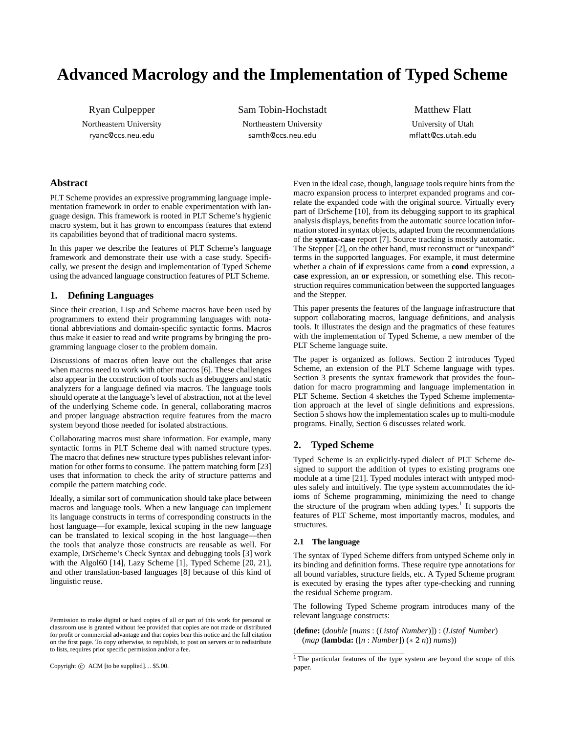# **Advanced Macrology and the Implementation of Typed Scheme**

Ryan Culpepper Northeastern University ryanc@ccs.neu.edu

Sam Tobin-Hochstadt Northeastern University samth@ccs.neu.edu

Matthew Flatt University of Utah mflatt@cs.utah.edu

# **Abstract**

PLT Scheme provides an expressive programming language implementation framework in order to enable experimentation with language design. This framework is rooted in PLT Scheme's hygienic macro system, but it has grown to encompass features that extend its capabilities beyond that of traditional macro systems.

In this paper we describe the features of PLT Scheme's language framework and demonstrate their use with a case study. Specifically, we present the design and implementation of Typed Scheme using the advanced language construction features of PLT Scheme.

# **1. Defining Languages**

Since their creation, Lisp and Scheme macros have been used by programmers to extend their programming languages with notational abbreviations and domain-specific syntactic forms. Macros thus make it easier to read and write programs by bringing the programming language closer to the problem domain.

Discussions of macros often leave out the challenges that arise when macros need to work with other macros [6]. These challenges also appear in the construction of tools such as debuggers and static analyzers for a language defined via macros. The language tools should operate at the language's level of abstraction, not at the level of the underlying Scheme code. In general, collaborating macros and proper language abstraction require features from the macro system beyond those needed for isolated abstractions.

Collaborating macros must share information. For example, many syntactic forms in PLT Scheme deal with named structure types. The macro that defines new structure types publishes relevant information for other forms to consume. The pattern matching form [23] uses that information to check the arity of structure patterns and compile the pattern matching code.

Ideally, a similar sort of communication should take place between macros and language tools. When a new language can implement its language constructs in terms of corresponding constructs in the host language—for example, lexical scoping in the new language can be translated to lexical scoping in the host language—then the tools that analyze those constructs are reusable as well. For example, DrScheme's Check Syntax and debugging tools [3] work with the Algol60 [14], Lazy Scheme [1], Typed Scheme [20, 21], and other translation-based languages [8] because of this kind of linguistic reuse.

Copyright  $\odot$  ACM [to be supplied]... \$5.00.

Even in the ideal case, though, language tools require hints from the macro expansion process to interpret expanded programs and correlate the expanded code with the original source. Virtually every part of DrScheme [10], from its debugging support to its graphical analysis displays, benefits from the automatic source location information stored in syntax objects, adapted from the recommendations of the **syntax-case** report [7]. Source tracking is mostly automatic. The Stepper [2], on the other hand, must reconstruct or "unexpand" terms in the supported languages. For example, it must determine whether a chain of **if** expressions came from a **cond** expression, a **case** expression, an **or** expression, or something else. This reconstruction requires communication between the supported languages and the Stepper.

This paper presents the features of the language infrastructure that support collaborating macros, language definitions, and analysis tools. It illustrates the design and the pragmatics of these features with the implementation of Typed Scheme, a new member of the PLT Scheme language suite.

The paper is organized as follows. Section 2 introduces Typed Scheme, an extension of the PLT Scheme language with types. Section 3 presents the syntax framework that provides the foundation for macro programming and language implementation in PLT Scheme. Section 4 sketches the Typed Scheme implementation approach at the level of single definitions and expressions. Section 5 shows how the implementation scales up to multi-module programs. Finally, Section 6 discusses related work.

# **2. Typed Scheme**

Typed Scheme is an explicitly-typed dialect of PLT Scheme designed to support the addition of types to existing programs one module at a time [21]. Typed modules interact with untyped modules safely and intuitively. The type system accommodates the idioms of Scheme programming, minimizing the need to change the structure of the program when adding types.<sup>1</sup> It supports the features of PLT Scheme, most importantly macros, modules, and structures.

## **2.1 The language**

The syntax of Typed Scheme differs from untyped Scheme only in its binding and definition forms. These require type annotations for all bound variables, structure fields, etc. A Typed Scheme program is executed by erasing the types after type-checking and running the residual Scheme program.

The following Typed Scheme program introduces many of the relevant language constructs:

(**define:** (*double* [*nums* : (*Listof Number*)]) : (*Listof Number*) (*map* (**lambda:** ([*n* : *Number*]) (∗ 2 *n*)) *nums*))

Permission to make digital or hard copies of all or part of this work for personal or classroom use is granted without fee provided that copies are not made or distributed for profit or commercial advantage and that copies bear this notice and the full citation on the first page. To copy otherwise, to republish, to post on servers or to redistribute to lists, requires prior specific permission and/or a fee.

<sup>&</sup>lt;sup>1</sup> The particular features of the type system are beyond the scope of this paper.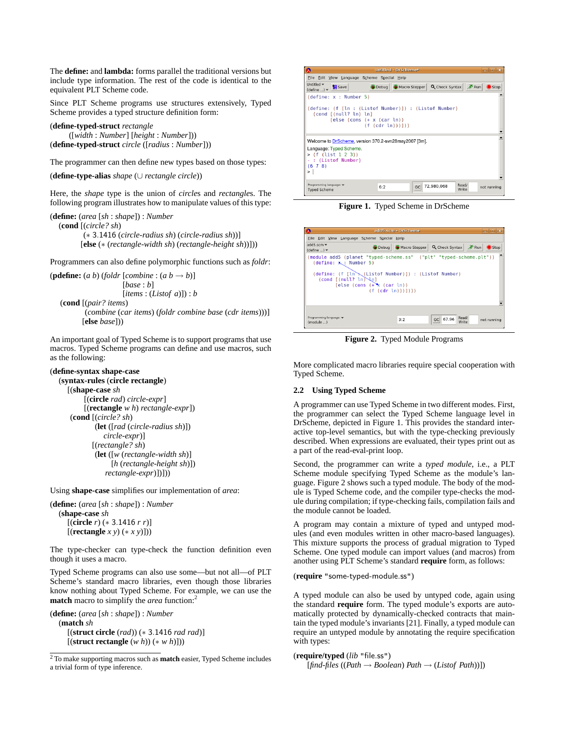The **define:** and **lambda:** forms parallel the traditional versions but include type information. The rest of the code is identical to the equivalent PLT Scheme code.

Since PLT Scheme programs use structures extensively, Typed Scheme provides a typed structure definition form:

(**define-typed-struct** *rectangle* ([*width* : *Number*] [*height* : *Number*])) (**define-typed-struct** *circle* ([*radius* : *Number*]))

The programmer can then define new types based on those types:

(**define-type-alias** *shape* (∪ *rectangle circle*))

Here, the *shape* type is the union of *circle*s and *rectangle*s. The following program illustrates how to manipulate values of this type:

(**define:** (*area* [*sh* : *shape*]) : *Number* (**cond** [(*circle? sh*) (∗ 3.1416 (*circle-radius sh*) (*circle-radius sh*))] [**else** (∗ (*rectangle-width sh*) (*rectangle-height sh*))]))

Programmers can also define polymorphic functions such as *foldr*:

```
(pdefine: (a\ b) (foldr [combine : (a\ b \rightarrow b)]
                        [base : b]
                        [items : (Listof a)]) : b
   (cond [(pair? items)
           (combine (car items) (foldr combine base (cdr items)))]
```
[**else** *base*]))

An important goal of Typed Scheme is to support programs that use macros. Typed Scheme programs can define and use macros, such as the following:

## (**define-syntax shape-case**

```
(syntax-rules (circle rectangle)
  [(shape-case sh
       [(circle rad) circle-expr]
       [(rectangle w h) rectangle-expr])
   (cond [(circle? sh)
           (let ([rad (circle-radius sh)])
              circle-expr)]
          [(rectangle? sh)
           (let ([w (rectangle-width sh)]
                [h (rectangle-height sh)])
              rectangle-expr)])]))
```
Using **shape-case** simplifies our implementation of *area*:

```
(define: (area [sh : shape]) : Number
  (shape-case sh
     [(circle r) (∗ 3.1416 r r)]
     [(rectangle x y) (∗ x y)]))
```
The type-checker can type-check the function definition even though it uses a macro.

Typed Scheme programs can also use some—but not all—of PLT Scheme's standard macro libraries, even though those libraries know nothing about Typed Scheme. For example, we can use the **match** macro to simplify the *area* function:<sup>2</sup>

(**define:** (*area* [*sh* : *shape*]) : *Number*

(**match** *sh* [(**struct circle** (*rad*)) (∗ 3.1416 *rad rad*)] [(**struct rectangle** (*w h*)) (∗ *w h*)]))

<sup>2</sup> To make supporting macros such as **match** easier, Typed Scheme includes a trivial form of type inference.



**Figure 1.** Typed Scheme in DrScheme

| $\boldsymbol{\Omega}$             |                                         |                                                                                                                                                                                     | add5.scm - DrScheme |                            | $ \Box$ $\mathbf{x}$                     |
|-----------------------------------|-----------------------------------------|-------------------------------------------------------------------------------------------------------------------------------------------------------------------------------------|---------------------|----------------------------|------------------------------------------|
|                                   |                                         | Eile Edit View Language Scheme Special Help                                                                                                                                         |                     |                            |                                          |
| add5.scm<br>$(\text{define} )$    |                                         |                                                                                                                                                                                     |                     |                            | Debug Macro Stepper Q Check Syntax X Run |
| (define: $\mathbf{x}$ : Number 5) | $\text{cond}$ $\text{f}$ (null? ln) \n] | (module add5 (planet "typed-scheme.ss" ("plt" "typed-scheme.plt"))<br>(define: (f [ln \ (Listof Number)]) : (Listof Number)<br>$[else (cons (+ \times (car l)) )$<br>(f (cdr (n)))) |                     |                            |                                          |
| Programming language:<br>(module) |                                         |                                                                                                                                                                                     | 3:2                 | Read/<br>GC 67.96<br>Write | not running                              |

**Figure 2.** Typed Module Programs

More complicated macro libraries require special cooperation with Typed Scheme.

## **2.2 Using Typed Scheme**

A programmer can use Typed Scheme in two different modes. First, the programmer can select the Typed Scheme language level in DrScheme, depicted in Figure 1. This provides the standard interactive top-level semantics, but with the type-checking previously described. When expressions are evaluated, their types print out as a part of the read-eval-print loop.

Second, the programmer can write a *typed module*, i.e., a PLT Scheme module specifying Typed Scheme as the module's language. Figure 2 shows such a typed module. The body of the module is Typed Scheme code, and the compiler type-checks the module during compilation; if type-checking fails, compilation fails and the module cannot be loaded.

A program may contain a mixture of typed and untyped modules (and even modules written in other macro-based languages). This mixture supports the process of gradual migration to Typed Scheme. One typed module can import values (and macros) from another using PLT Scheme's standard **require** form, as follows:

## (**require** "some-typed-module.ss")

A typed module can also be used by untyped code, again using the standard **require** form. The typed module's exports are automatically protected by dynamically-checked contracts that maintain the typed module's invariants [21]. Finally, a typed module can require an untyped module by annotating the require specification with types:

#### (**require/typed** (*lib* "file.ss")

[*find-files* ((*Path* → *Boolean*) *Path* → (*Listof Path*))])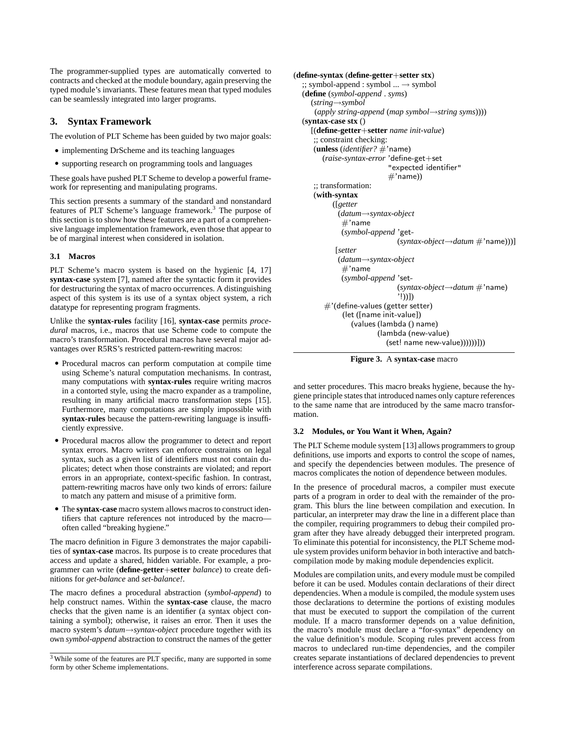The programmer-supplied types are automatically converted to contracts and checked at the module boundary, again preserving the typed module's invariants. These features mean that typed modules can be seamlessly integrated into larger programs.

# **3. Syntax Framework**

The evolution of PLT Scheme has been guided by two major goals:

- implementing DrScheme and its teaching languages
- supporting research on programming tools and languages

These goals have pushed PLT Scheme to develop a powerful framework for representing and manipulating programs.

This section presents a summary of the standard and nonstandard features of PLT Scheme's language framework.<sup>3</sup> The purpose of this section is to show how these features are a part of a comprehensive language implementation framework, even those that appear to be of marginal interest when considered in isolation.

## **3.1 Macros**

PLT Scheme's macro system is based on the hygienic [4, 17] **syntax-case** system [7], named after the syntactic form it provides for destructuring the syntax of macro occurrences. A distinguishing aspect of this system is its use of a syntax object system, a rich datatype for representing program fragments.

Unlike the **syntax-rules** facility [16], **syntax-case** permits *procedural* macros, i.e., macros that use Scheme code to compute the macro's transformation. Procedural macros have several major advantages over R5RS's restricted pattern-rewriting macros:

- Procedural macros can perform computation at compile time using Scheme's natural computation mechanisms. In contrast, many computations with **syntax-rules** require writing macros in a contorted style, using the macro expander as a trampoline, resulting in many artificial macro transformation steps [15]. Furthermore, many computations are simply impossible with **syntax-rules** because the pattern-rewriting language is insufficiently expressive.
- Procedural macros allow the programmer to detect and report syntax errors. Macro writers can enforce constraints on legal syntax, such as a given list of identifiers must not contain duplicates; detect when those constraints are violated; and report errors in an appropriate, context-specific fashion. In contrast, pattern-rewriting macros have only two kinds of errors: failure to match any pattern and misuse of a primitive form.
- The **syntax-case** macro system allows macros to construct identifiers that capture references not introduced by the macro often called "breaking hygiene."

The macro definition in Figure 3 demonstrates the major capabilities of **syntax-case** macros. Its purpose is to create procedures that access and update a shared, hidden variable. For example, a programmer can write (**define-getter**+**setter** *balance*) to create definitions for *get-balance* and *set-balance!*.

The macro defines a procedural abstraction (*symbol-append*) to help construct names. Within the **syntax-case** clause, the macro checks that the given name is an identifier (a syntax object containing a symbol); otherwise, it raises an error. Then it uses the macro system's *datum*→*syntax-object* procedure together with its own *symbol-append* abstraction to construct the names of the getter

```
(define-syntax (define-getter+setter stx)
  \gamma; symbol-append : symbol \ldots \rightarrow symbol
  (define (symbol-append . syms)
     (string→symbol
      (apply string-append (map symbol→string syms))))
  (syntax-case stx ()
     [(define-getter+setter name init-value)
     ;; constraint checking:
     (unless (identifier? #'name)
        (raise-syntax-error 'define-get+set
                           "expected identifier"
                           #'name))
     ;; transformation:
     (with-syntax
           ([getter
             (datum→syntax-object
              #'name
              (symbol-append 'get-
                              (syntax-object→datum #'name)))]
            [setter
             (datum→syntax-object
              #'name
              (symbol-append 'set-
                              (syntax-object→datum #'name)
                               '!))])
         #'(define-values (getter setter)
              (let ([name init-value])
                 (values (lambda () name)
                        (lambda (new-value)
                           (set! name new-value))))))))))
```


and setter procedures. This macro breaks hygiene, because the hygiene principle states that introduced names only capture references to the same name that are introduced by the same macro transformation.

#### **3.2 Modules, or You Want it When, Again?**

The PLT Scheme module system [13] allows programmers to group definitions, use imports and exports to control the scope of names, and specify the dependencies between modules. The presence of macros complicates the notion of dependence between modules.

In the presence of procedural macros, a compiler must execute parts of a program in order to deal with the remainder of the program. This blurs the line between compilation and execution. In particular, an interpreter may draw the line in a different place than the compiler, requiring programmers to debug their compiled program after they have already debugged their interpreted program. To eliminate this potential for inconsistency, the PLT Scheme module system provides uniform behavior in both interactive and batchcompilation mode by making module dependencies explicit.

Modules are compilation units, and every module must be compiled before it can be used. Modules contain declarations of their direct dependencies. When a module is compiled, the module system uses those declarations to determine the portions of existing modules that must be executed to support the compilation of the current module. If a macro transformer depends on a value definition, the macro's module must declare a "for-syntax" dependency on the value definition's module. Scoping rules prevent access from macros to undeclared run-time dependencies, and the compiler creates separate instantiations of declared dependencies to prevent interference across separate compilations.

<sup>3</sup> While some of the features are PLT specific, many are supported in some form by other Scheme implementations.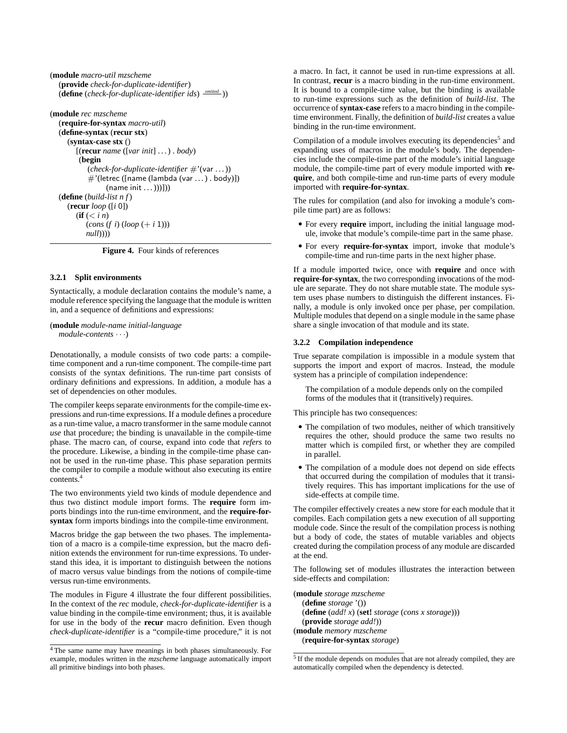```
(module macro-util mzscheme
  (provide check-for-duplicate-identifier)
   (define (check-for-duplicate-identifier ids)
omitted ))
```

```
(module rec mzscheme
   (require-for-syntax macro-util)
   (define-syntax (recur stx)
      (syntax-case stx ()
         [(recur name ([var init] . . . ) . body)
          (begin
             (check-for-duplicate-identifier #'(var . . . ))
             \#'(letrec ([name (lambda (var ...) . body)])
                    (name init ...)))])(define (build-list n f)
      (recur loop ([i 0])
         (f(f \leq i n))\left( \text{cons} \left( f \right) \left( \text{loop} \left( + i \right) \right) \right)null))))
```
**Figure 4.** Four kinds of references

## **3.2.1 Split environments**

Syntactically, a module declaration contains the module's name, a module reference specifying the language that the module is written in, and a sequence of definitions and expressions:

(**module** *module-name initial-language module-contents* · · ·)

Denotationally, a module consists of two code parts: a compiletime component and a run-time component. The compile-time part consists of the syntax definitions. The run-time part consists of ordinary definitions and expressions. In addition, a module has a set of dependencies on other modules.

The compiler keeps separate environments for the compile-time expressions and run-time expressions. If a module defines a procedure as a run-time value, a macro transformer in the same module cannot *use* that procedure; the binding is unavailable in the compile-time phase. The macro can, of course, expand into code that *refers* to the procedure. Likewise, a binding in the compile-time phase cannot be used in the run-time phase. This phase separation permits the compiler to compile a module without also executing its entire  $contents.4$ 

The two environments yield two kinds of module dependence and thus two distinct module import forms. The **require** form imports bindings into the run-time environment, and the **require-forsyntax** form imports bindings into the compile-time environment.

Macros bridge the gap between the two phases. The implementation of a macro is a compile-time expression, but the macro definition extends the environment for run-time expressions. To understand this idea, it is important to distinguish between the notions of macro versus value bindings from the notions of compile-time versus run-time environments.

The modules in Figure 4 illustrate the four different possibilities. In the context of the *rec* module, *check-for-duplicate-identifier* is a value binding in the compile-time environment; thus, it is available for use in the body of the **recur** macro definition. Even though *check-duplicate-identifier* is a "compile-time procedure," it is not a macro. In fact, it cannot be used in run-time expressions at all. In contrast, **recur** is a macro binding in the run-time environment. It is bound to a compile-time value, but the binding is available to run-time expressions such as the definition of *build-list*. The occurrence of **syntax-case** refers to a macro binding in the compiletime environment. Finally, the definition of *build-list* creates a value binding in the run-time environment.

Compilation of a module involves executing its dependencies<sup>5</sup> and expanding uses of macros in the module's body. The dependencies include the compile-time part of the module's initial language module, the compile-time part of every module imported with **require**, and both compile-time and run-time parts of every module imported with **require-for-syntax**.

The rules for compilation (and also for invoking a module's compile time part) are as follows:

- For every **require** import, including the initial language module, invoke that module's compile-time part in the same phase.
- For every **require-for-syntax** import, invoke that module's compile-time and run-time parts in the next higher phase.

If a module imported twice, once with **require** and once with **require-for-syntax**, the two corresponding invocations of the module are separate. They do not share mutable state. The module system uses phase numbers to distinguish the different instances. Finally, a module is only invoked once per phase, per compilation. Multiple modules that depend on a single module in the same phase share a single invocation of that module and its state.

#### **3.2.2 Compilation independence**

True separate compilation is impossible in a module system that supports the import and export of macros. Instead, the module system has a principle of compilation independence:

The compilation of a module depends only on the compiled forms of the modules that it (transitively) requires.

This principle has two consequences:

- The compilation of two modules, neither of which transitively requires the other, should produce the same two results no matter which is compiled first, or whether they are compiled in parallel.
- The compilation of a module does not depend on side effects that occurred during the compilation of modules that it transitively requires. This has important implications for the use of side-effects at compile time.

The compiler effectively creates a new store for each module that it compiles. Each compilation gets a new execution of all supporting module code. Since the result of the compilation process is nothing but a body of code, the states of mutable variables and objects created during the compilation process of any module are discarded at the end.

The following set of modules illustrates the interaction between side-effects and compilation:

(**module** *storage mzscheme* (**define** *storage* '()) (**define** (*add! x*) (**set!** *storage* (*cons x storage*))) (**provide** *storage add!*)) (**module** *memory mzscheme* (**require-for-syntax** *storage*)

<sup>4</sup> The same name may have meanings in both phases simultaneously. For example, modules written in the *mzscheme* language automatically import all primitive bindings into both phases.

<sup>&</sup>lt;sup>5</sup> If the module depends on modules that are not already compiled, they are automatically compiled when the dependency is detected.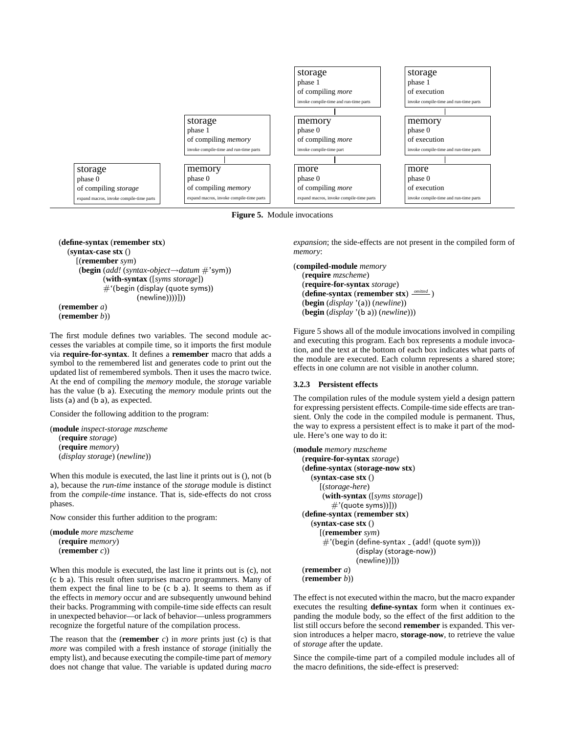

**Figure 5.** Module invocations

(**define-syntax** (**remember stx**) (**syntax-case stx** () [(**remember** *sym*) (**begin** (*add!* (*syntax-object*→*datum* #'sym)) (**with-syntax** ([*syms storage*]) #'(begin (display (quote syms)) (newline))))])) (**remember** *a*) (**remember** *b*))

The first module defines two variables. The second module accesses the variables at compile time, so it imports the first module via **require-for-syntax**. It defines a **remember** macro that adds a symbol to the remembered list and generates code to print out the updated list of remembered symbols. Then it uses the macro twice. At the end of compiling the *memory* module, the *storage* variable has the value (b a). Executing the *memory* module prints out the lists (a) and (b a), as expected.

Consider the following addition to the program:

```
(module inspect-storage mzscheme
  (require storage)
  (require memory)
  (display storage) (newline))
```
When this module is executed, the last line it prints out is (), not (b a), because the *run-time* instance of the *storage* module is distinct from the *compile-time* instance. That is, side-effects do not cross phases.

Now consider this further addition to the program:

```
(module more mzscheme
  (require memory)
  (remember c))
```
When this module is executed, the last line it prints out is (c), not (c b a). This result often surprises macro programmers. Many of them expect the final line to be (c b a). It seems to them as if the effects in *memory* occur and are subsequently unwound behind their backs. Programming with compile-time side effects can result in unexpected behavior—or lack of behavior—unless programmers recognize the forgetful nature of the compilation process.

The reason that the (**remember** *c*) in *more* prints just (c) is that *more* was compiled with a fresh instance of *storage* (initially the empty list), and because executing the compile-time part of *memory* does not change that value. The variable is updated during *macro* *expansion*; the side-effects are not present in the compiled form of *memory*:

```
(compiled-module memory
  (require mzscheme)
  (require-for-syntax storage)
  (define-syntax (remember stx)
omitted )
  (begin (display '(a)) (newline))
  (begin (display '(b a)) (newline)))
```
Figure 5 shows all of the module invocations involved in compiling and executing this program. Each box represents a module invocation, and the text at the bottom of each box indicates what parts of the module are executed. Each column represents a shared store; effects in one column are not visible in another column.

## **3.2.3 Persistent effects**

The compilation rules of the module system yield a design pattern for expressing persistent effects. Compile-time side effects are transient. Only the code in the compiled module is permanent. Thus, the way to express a persistent effect is to make it part of the module. Here's one way to do it:

```
(module memory mzscheme
  (require-for-syntax storage)
  (define-syntax (storage-now stx)
     (syntax-case stx ()
       [(storage-here)
        (with-syntax ([syms storage])
           \#'(quote syms))]))
  (define-syntax (remember stx)
     (syntax-case stx ()
       [(remember sym)
        \#'(begin (define-syntax \angle (add! (quote sym)))
                  (display (storage-now))
                  (newline))]))
  (remember a)
  (remember b))
```
The effect is not executed within the macro, but the macro expander executes the resulting **define-syntax** form when it continues expanding the module body, so the effect of the first addition to the list still occurs before the second **remember** is expanded. This version introduces a helper macro, **storage-now**, to retrieve the value of *storage* after the update.

Since the compile-time part of a compiled module includes all of the macro definitions, the side-effect is preserved: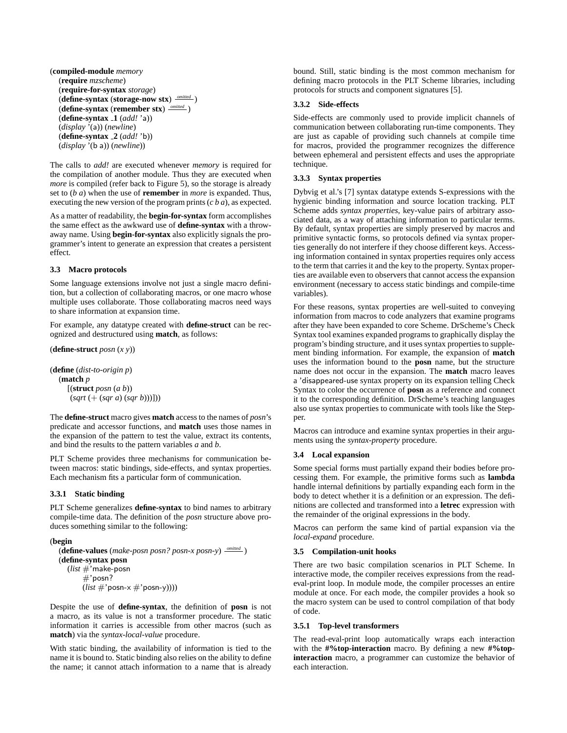(**compiled-module** *memory* (**require** *mzscheme*) (**require-for-syntax** *storage*) (**define-syntax** (**storage-now stx**) *omitted* ) (**define-syntax** (**remember stx**) *omitted* ) (**define-syntax 1** (*add!* 'a)) (*display* '(a)) (*newline*) (**define-syntax 2** (*add!* 'b)) (*display* '(b a)) (*newline*))

The calls to *add!* are executed whenever *memory* is required for the compilation of another module. Thus they are executed when *more* is compiled (refer back to Figure 5), so the storage is already set to (*b a*) when the use of **remember** in *more* is expanded. Thus, executing the new version of the program prints (*c b a*), as expected.

As a matter of readability, the **begin-for-syntax** form accomplishes the same effect as the awkward use of **define-syntax** with a throwaway name. Using **begin-for-syntax** also explicitly signals the programmer's intent to generate an expression that creates a persistent effect.

## **3.3 Macro protocols**

Some language extensions involve not just a single macro definition, but a collection of collaborating macros, or one macro whose multiple uses collaborate. Those collaborating macros need ways to share information at expansion time.

For example, any datatype created with **define-struct** can be recognized and destructured using **match**, as follows:

(**define-struct** *posn* (*x y*))

(**define** (*dist-to-origin p*) (**match** *p* [(**struct** *posn* (*a b*)) (*sqrt* (+ (*sqr a*) (*sqr b*)))]))

The **define-struct** macro gives **match** access to the names of *posn*'s predicate and accessor functions, and **match** uses those names in the expansion of the pattern to test the value, extract its contents, and bind the results to the pattern variables *a* and *b*.

PLT Scheme provides three mechanisms for communication between macros: static bindings, side-effects, and syntax properties. Each mechanism fits a particular form of communication.

## **3.3.1 Static binding**

PLT Scheme generalizes **define-syntax** to bind names to arbitrary compile-time data. The definition of the *posn* structure above produces something similar to the following:

#### (**begin**

(**define-values** (*make-posn posn? posn-x posn-y*) *omitted* ) (**define-syntax posn** (*list* #'make-posn #'posn? (*list* #'posn-x #'posn-y))))

Despite the use of **define-syntax**, the definition of **posn** is not a macro, as its value is not a transformer procedure. The static information it carries is accessible from other macros (such as **match**) via the *syntax-local-value* procedure.

With static binding, the availability of information is tied to the name it is bound to. Static binding also relies on the ability to define the name; it cannot attach information to a name that is already bound. Still, static binding is the most common mechanism for defining macro protocols in the PLT Scheme libraries, including protocols for structs and component signatures [5].

#### **3.3.2 Side-effects**

Side-effects are commonly used to provide implicit channels of communication between collaborating run-time components. They are just as capable of providing such channels at compile time for macros, provided the programmer recognizes the difference between ephemeral and persistent effects and uses the appropriate technique.

## **3.3.3 Syntax properties**

Dybvig et al.'s [7] syntax datatype extends S-expressions with the hygienic binding information and source location tracking. PLT Scheme adds *syntax properties*, key-value pairs of arbitrary associated data, as a way of attaching information to particular terms. By default, syntax properties are simply preserved by macros and primitive syntactic forms, so protocols defined via syntax properties generally do not interfere if they choose different keys. Accessing information contained in syntax properties requires only access to the term that carries it and the key to the property. Syntax properties are available even to observers that cannot access the expansion environment (necessary to access static bindings and compile-time variables).

For these reasons, syntax properties are well-suited to conveying information from macros to code analyzers that examine programs after they have been expanded to core Scheme. DrScheme's Check Syntax tool examines expanded programs to graphically display the program's binding structure, and it uses syntax properties to supplement binding information. For example, the expansion of **match** uses the information bound to the **posn** name, but the structure name does not occur in the expansion. The **match** macro leaves a 'disappeared-use syntax property on its expansion telling Check Syntax to color the occurrence of **posn** as a reference and connect it to the corresponding definition. DrScheme's teaching languages also use syntax properties to communicate with tools like the Stepper.

Macros can introduce and examine syntax properties in their arguments using the *syntax-property* procedure.

#### **3.4 Local expansion**

Some special forms must partially expand their bodies before processing them. For example, the primitive forms such as **lambda** handle internal definitions by partially expanding each form in the body to detect whether it is a definition or an expression. The definitions are collected and transformed into a **letrec** expression with the remainder of the original expressions in the body.

Macros can perform the same kind of partial expansion via the *local-expand* procedure.

#### **3.5 Compilation-unit hooks**

There are two basic compilation scenarios in PLT Scheme. In interactive mode, the compiler receives expressions from the readeval-print loop. In module mode, the compiler processes an entire module at once. For each mode, the compiler provides a hook so the macro system can be used to control compilation of that body of code.

#### **3.5.1 Top-level transformers**

The read-eval-print loop automatically wraps each interaction with the **#%top-interaction** macro. By defining a new **#%topinteraction** macro, a programmer can customize the behavior of each interaction.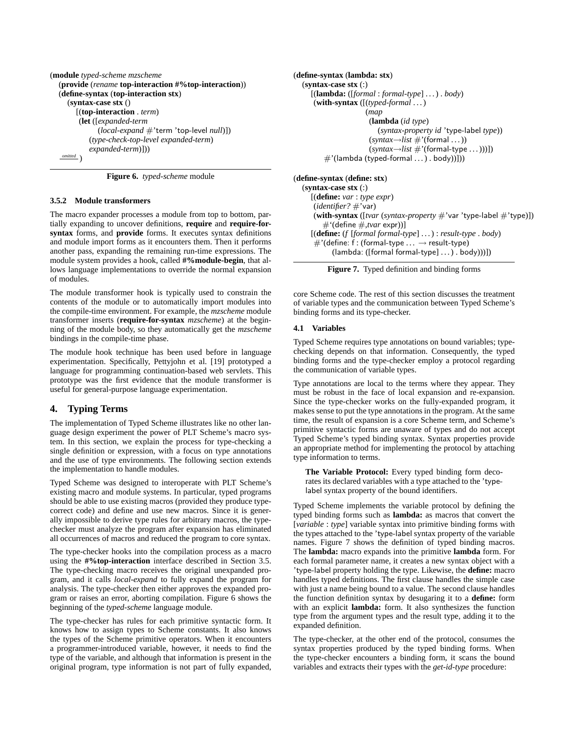```
(module typed-scheme mzscheme
  (provide (rename top-interaction #%top-interaction))
  (define-syntax (top-interaction stx)
     (syntax-case stx ()
       [(top-interaction . term)
        (let ([expanded-term
              (local-expand #'term 'top-level null)])
           (type-check-top-level expanded-term)
           expanded-term)]))
   omitted )
```
**Figure 6.** *typed-scheme* module

## **3.5.2 Module transformers**

The macro expander processes a module from top to bottom, partially expanding to uncover definitions, **require** and **require-forsyntax** forms, and **provide** forms. It executes syntax definitions and module import forms as it encounters them. Then it performs another pass, expanding the remaining run-time expressions. The module system provides a hook, called **#%module-begin**, that allows language implementations to override the normal expansion of modules.

The module transformer hook is typically used to constrain the contents of the module or to automatically import modules into the compile-time environment. For example, the *mzscheme* module transformer inserts (**require-for-syntax** *mzscheme*) at the beginning of the module body, so they automatically get the *mzscheme* bindings in the compile-time phase.

The module hook technique has been used before in language experimentation. Specifically, Pettyjohn et al. [19] prototyped a language for programming continuation-based web servlets. This prototype was the first evidence that the module transformer is useful for general-purpose language experimentation.

# **4. Typing Terms**

The implementation of Typed Scheme illustrates like no other language design experiment the power of PLT Scheme's macro system. In this section, we explain the process for type-checking a single definition or expression, with a focus on type annotations and the use of type environments. The following section extends the implementation to handle modules.

Typed Scheme was designed to interoperate with PLT Scheme's existing macro and module systems. In particular, typed programs should be able to use existing macros (provided they produce typecorrect code) and define and use new macros. Since it is generally impossible to derive type rules for arbitrary macros, the typechecker must analyze the program after expansion has eliminated all occurrences of macros and reduced the program to core syntax.

The type-checker hooks into the compilation process as a macro using the **#%top-interaction** interface described in Section 3.5. The type-checking macro receives the original unexpanded program, and it calls *local-expand* to fully expand the program for analysis. The type-checker then either approves the expanded program or raises an error, aborting compilation. Figure 6 shows the beginning of the *typed-scheme* language module.

The type-checker has rules for each primitive syntactic form. It knows how to assign types to Scheme constants. It also knows the types of the Scheme primitive operators. When it encounters a programmer-introduced variable, however, it needs to find the type of the variable, and although that information is present in the original program, type information is not part of fully expanded, (**define-syntax** (**lambda: stx**) (**syntax-case stx** (:) [(**lambda:** ([*formal* : *formal-type*] . . . ) . *body*) (**with-syntax** ([(*typed-formal* . . . ) (*map* (**lambda** (*id type*) (*syntax-property id* 'type-label *type*))  $(syntax \rightarrow list \# ' (formal ...)$  $(syntax \rightarrow list \#'(formal-type...)))$  $\#$ '(lambda (typed-formal ...). body))]))

# (**define-syntax** (**define: stx**)

```
(syntax-case stx (:)
  [(define: var : type expr)
   (identifier? #'var)
   (\textbf{with-syntax} ([tvar (syntax-property #'var 'type-label #'type)])#'(define #,tvar expr))]
  [(define: (f [formal formal-type] . . . ) : result-type . body)
   \#'(define: f : (formal-type ... \rightarrow result-type)
         (lambda: ([formal formal-type] . . . ) . body)))])
```


core Scheme code. The rest of this section discusses the treatment of variable types and the communication between Typed Scheme's binding forms and its type-checker.

## **4.1 Variables**

Typed Scheme requires type annotations on bound variables; typechecking depends on that information. Consequently, the typed binding forms and the type-checker employ a protocol regarding the communication of variable types.

Type annotations are local to the terms where they appear. They must be robust in the face of local expansion and re-expansion. Since the type-checker works on the fully-expanded program, it makes sense to put the type annotations in the program. At the same time, the result of expansion is a core Scheme term, and Scheme's primitive syntactic forms are unaware of types and do not accept Typed Scheme's typed binding syntax. Syntax properties provide an appropriate method for implementing the protocol by attaching type information to terms.

**The Variable Protocol:** Every typed binding form decorates its declared variables with a type attached to the 'typelabel syntax property of the bound identifiers.

Typed Scheme implements the variable protocol by defining the typed binding forms such as **lambda:** as macros that convert the [*variable* : *type*] variable syntax into primitive binding forms with the types attached to the 'type-label syntax property of the variable names. Figure 7 shows the definition of typed binding macros. The **lambda:** macro expands into the primitive **lambda** form. For each formal parameter name, it creates a new syntax object with a 'type-label property holding the type. Likewise, the **define:** macro handles typed definitions. The first clause handles the simple case with just a name being bound to a value. The second clause handles the function definition syntax by desugaring it to a **define:** form with an explicit **lambda:** form. It also synthesizes the function type from the argument types and the result type, adding it to the expanded definition.

The type-checker, at the other end of the protocol, consumes the syntax properties produced by the typed binding forms. When the type-checker encounters a binding form, it scans the bound variables and extracts their types with the *get-id-type* procedure: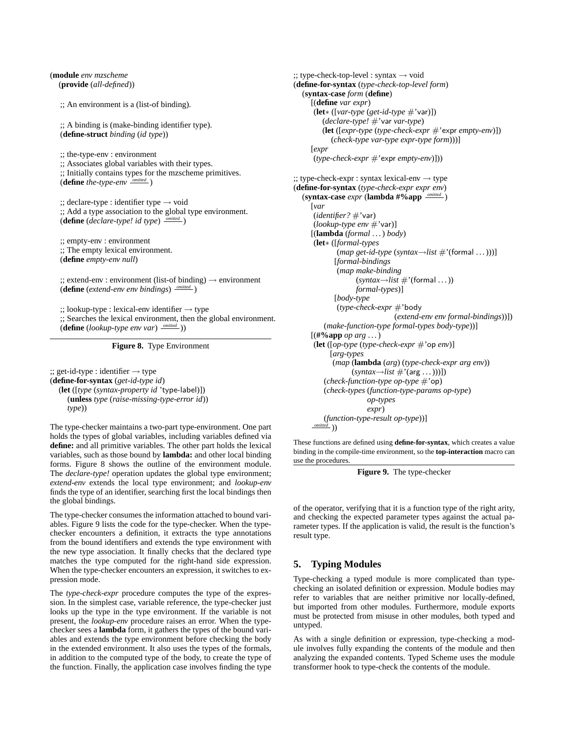(**module** *env mzscheme* (**provide** (*all-defined*))

;; An environment is a (list-of binding).

;; A binding is (make-binding identifier type). (**define-struct** *binding* (*id type*))

;; the-type-env : environment ;; Associates global variables with their types. ;; Initially contains types for the mzscheme primitives. (**define** *the-type-env omitted* )

 $\gamma$ ; declare-type : identifier type  $\rightarrow$  void ;; Add a type association to the global type environment. (**define** (*declare-type! id type*) *omitted* )

;; empty-env : environment ;; The empty lexical environment. (**define** *empty-env null*)

 $\gamma$ ; extend-env : environment (list-of binding)  $\rightarrow$  environment (**define** (*extend-env env bindings*) *omitted* )

 $\cdot$ ;; lookup-type : lexical-env identifier  $\rightarrow$  type ;; Searches the lexical environment, then the global environment. (**define** (*lookup-type env var*) *omitted* ))

**Figure 8.** Type Environment

 $\cdot$ ;; get-id-type : identifier  $\rightarrow$  type (**define-for-syntax** (*get-id-type id*) (**let** ([*type* (*syntax-property id* 'type-label)]) (**unless** *type* (*raise-missing-type-error id*)) *type*))

The type-checker maintains a two-part type-environment. One part holds the types of global variables, including variables defined via **define:** and all primitive variables. The other part holds the lexical variables, such as those bound by **lambda:** and other local binding forms. Figure 8 shows the outline of the environment module. The *declare-type!* operation updates the global type environment; *extend-env* extends the local type environment; and *lookup-env* finds the type of an identifier, searching first the local bindings then the global bindings.

The type-checker consumes the information attached to bound variables. Figure 9 lists the code for the type-checker. When the typechecker encounters a definition, it extracts the type annotations from the bound identifiers and extends the type environment with the new type association. It finally checks that the declared type matches the type computed for the right-hand side expression. When the type-checker encounters an expression, it switches to expression mode.

The *type-check-expr* procedure computes the type of the expression. In the simplest case, variable reference, the type-checker just looks up the type in the type environment. If the variable is not present, the *lookup-env* procedure raises an error. When the typechecker sees a **lambda** form, it gathers the types of the bound variables and extends the type environment before checking the body in the extended environment. It also uses the types of the formals, in addition to the computed type of the body, to create the type of the function. Finally, the application case involves finding the type

 $\gamma$ ; type-check-top-level : syntax  $\rightarrow$  void (**define-for-syntax** (*type-check-top-level form*) (**syntax-case** *form* (**define**) [(**define** *var expr*) (**let**∗ ([*var-type* (*get-id-type* #'var)]) (*declare-type!* #'var *var-type*) (**let** ([*expr-type* (*type-check-expr* #'expr *empty-env*)]) (*check-type var-type expr-type form*)))] [*expr* (*type-check-expr* #'expr *empty-env*)]))  $\therefore$ : type-check-expr : syntax lexical-env  $\rightarrow$  type (**define-for-syntax** (*type-check-expr expr env*) (**syntax-case** *expr* (**lambda #%app** *omitted* ) [*var* (*identifier?* #'var) (*lookup-type env* #'var)] [(**lambda** (*formal* . . . ) *body*) (**let**∗ ([*formal-types*  $(map get-id-type (syntax \rightarrow list \# ' (formal ...)))$ [*formal-bindings* (*map make-binding*  $(syntax \rightarrow list \# ' (formal ...))$ *formal-types*)] [*body-type* (*type-check-expr* #'body (*extend-env env formal-bindings*))]) (*make-function-type formal-types body-type*))] [(**#%app** *op arg* . . . ) (**let** ([*op-type* (*type-check-expr* #'op *env*)] [*arg-types* (*map* (**lambda** (*arg*) (*type-check-expr arg env*))  $(syntax \rightarrow list \#'(arg \dots)))$ (*check-function-type op-type* #'op) (*check-types* (*function-type-params op-type*) *op-types expr*) (*function-type-result op-type*))]

These functions are defined using **define-for-syntax**, which creates a value binding in the compile-time environment, so the **top-interaction** macro can use the procedures.

**Figure 9.** The type-checker

of the operator, verifying that it is a function type of the right arity, and checking the expected parameter types against the actual parameter types. If the application is valid, the result is the function's result type.

# **5. Typing Modules**

*omitted* ))

Type-checking a typed module is more complicated than typechecking an isolated definition or expression. Module bodies may refer to variables that are neither primitive nor locally-defined, but imported from other modules. Furthermore, module exports must be protected from misuse in other modules, both typed and untyped.

As with a single definition or expression, type-checking a module involves fully expanding the contents of the module and then analyzing the expanded contents. Typed Scheme uses the module transformer hook to type-check the contents of the module.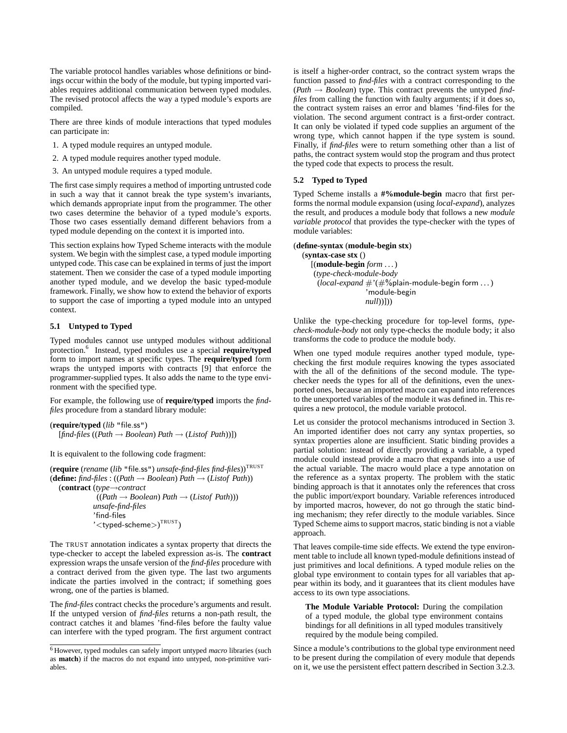The variable protocol handles variables whose definitions or bindings occur within the body of the module, but typing imported variables requires additional communication between typed modules. The revised protocol affects the way a typed module's exports are compiled.

There are three kinds of module interactions that typed modules can participate in:

- 1. A typed module requires an untyped module.
- 2. A typed module requires another typed module.
- 3. An untyped module requires a typed module.

The first case simply requires a method of importing untrusted code in such a way that it cannot break the type system's invariants, which demands appropriate input from the programmer. The other two cases determine the behavior of a typed module's exports. Those two cases essentially demand different behaviors from a typed module depending on the context it is imported into.

This section explains how Typed Scheme interacts with the module system. We begin with the simplest case, a typed module importing untyped code. This case can be explained in terms of just the import statement. Then we consider the case of a typed module importing another typed module, and we develop the basic typed-module framework. Finally, we show how to extend the behavior of exports to support the case of importing a typed module into an untyped context.

## **5.1 Untyped to Typed**

Typed modules cannot use untyped modules without additional protection.<sup>6</sup> Instead, typed modules use a special **require/typed** form to import names at specific types. The **require/typed** form wraps the untyped imports with contracts [9] that enforce the programmer-supplied types. It also adds the name to the type environment with the specified type.

For example, the following use of **require/typed** imports the *findfiles* procedure from a standard library module:

(**require/typed** (*lib* "file.ss")  $[find-files ((Path \rightarrow Boolean) Path \rightarrow (Listof Path))]$ 

It is equivalent to the following code fragment:

(**require** (*rename* (*lib* "file.ss") *unsafe-find-files find-files*))TRUST (**define:** *find-files* : ((*Path* → *Boolean*) *Path* → (*Listof Path*)) (**contract** (*type*→*contract*

((*Path* → *Boolean*) *Path* → (*Listof Path*))) *unsafe-find-files* 'find-files  $\mathcal{C}$ ' $<$ typed-scheme $>$ ) $^{\text{TRUST}}$ )

The TRUST annotation indicates a syntax property that directs the type-checker to accept the labeled expression as-is. The **contract** expression wraps the unsafe version of the *find-files* procedure with a contract derived from the given type. The last two arguments indicate the parties involved in the contract; if something goes wrong, one of the parties is blamed.

The *find-files* contract checks the procedure's arguments and result. If the untyped version of *find-files* returns a non-path result, the contract catches it and blames 'find-files before the faulty value can interfere with the typed program. The first argument contract is itself a higher-order contract, so the contract system wraps the function passed to *find-files* with a contract corresponding to the (*Path* → *Boolean*) type. This contract prevents the untyped *findfiles* from calling the function with faulty arguments; if it does so, the contract system raises an error and blames 'find-files for the violation. The second argument contract is a first-order contract. It can only be violated if typed code supplies an argument of the wrong type, which cannot happen if the type system is sound. Finally, if *find-files* were to return something other than a list of paths, the contract system would stop the program and thus protect the typed code that expects to process the result.

## **5.2 Typed to Typed**

Typed Scheme installs a **#%module-begin** macro that first performs the normal module expansion (using *local-expand*), analyzes the result, and produces a module body that follows a new *module variable protocol* that provides the type-checker with the types of module variables:

(**define-syntax** (**module-begin stx**) (**syntax-case stx** () [(**module-begin** *form* . . . ) (*type-check-module-body* (*local-expand* #'(#%plain-module-begin form . . . ) 'module-begin *null*))]))

Unlike the type-checking procedure for top-level forms, *typecheck-module-body* not only type-checks the module body; it also transforms the code to produce the module body.

When one typed module requires another typed module, typechecking the first module requires knowing the types associated with the all of the definitions of the second module. The typechecker needs the types for all of the definitions, even the unexported ones, because an imported macro can expand into references to the unexported variables of the module it was defined in. This requires a new protocol, the module variable protocol.

Let us consider the protocol mechanisms introduced in Section 3. An imported identifier does not carry any syntax properties, so syntax properties alone are insufficient. Static binding provides a partial solution: instead of directly providing a variable, a typed module could instead provide a macro that expands into a use of the actual variable. The macro would place a type annotation on the reference as a syntax property. The problem with the static binding approach is that it annotates only the references that cross the public import/export boundary. Variable references introduced by imported macros, however, do not go through the static binding mechanism; they refer directly to the module variables. Since Typed Scheme aims to support macros, static binding is not a viable approach.

That leaves compile-time side effects. We extend the type environment table to include all known typed-module definitions instead of just primitives and local definitions. A typed module relies on the global type environment to contain types for all variables that appear within its body, and it guarantees that its client modules have access to its own type associations.

**The Module Variable Protocol:** During the compilation of a typed module, the global type environment contains bindings for all definitions in all typed modules transitively required by the module being compiled.

Since a module's contributions to the global type environment need to be present during the compilation of every module that depends on it, we use the persistent effect pattern described in Section 3.2.3.

<sup>6</sup> However, typed modules can safely import untyped *macro* libraries (such as **match**) if the macros do not expand into untyped, non-primitive variables.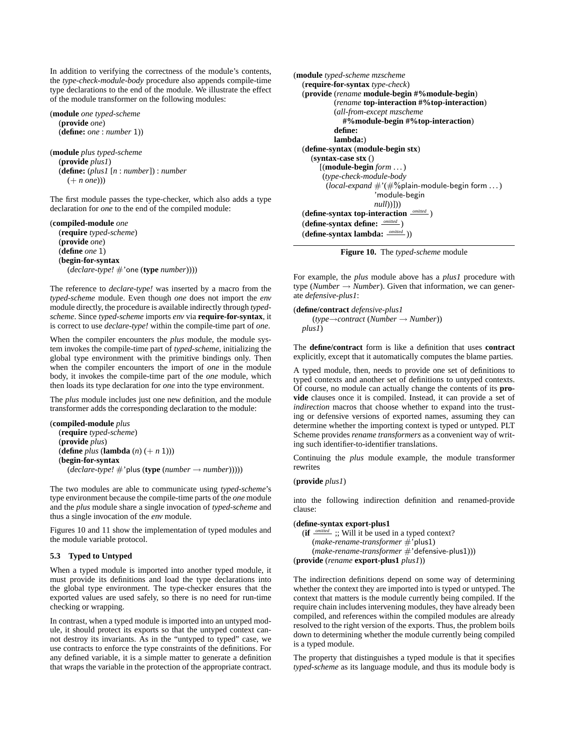In addition to verifying the correctness of the module's contents, the *type-check-module-body* procedure also appends compile-time type declarations to the end of the module. We illustrate the effect of the module transformer on the following modules:

```
(module one typed-scheme
  (provide one)
  (define: one : number 1))
```

```
(module plus typed-scheme
  (provide plus1)
  (define: (plus1 [n : number]) : number
     (+ n one)))
```
The first module passes the type-checker, which also adds a type declaration for *one* to the end of the compiled module:

```
(compiled-module one
  (require typed-scheme)
  (provide one)
  (define one 1)
  (begin-for-syntax
     (declare-type! #'one (type number))))
```
The reference to *declare-type!* was inserted by a macro from the *typed-scheme* module. Even though *one* does not import the *env* module directly, the procedure is available indirectly through *typedscheme*. Since *typed-scheme* imports *env* via **require-for-syntax**, it is correct to use *declare-type!* within the compile-time part of *one*.

When the compiler encounters the *plus* module, the module system invokes the compile-time part of *typed-scheme*, initializing the global type environment with the primitive bindings only. Then when the compiler encounters the import of *one* in the module body, it invokes the compile-time part of the *one* module, which then loads its type declaration for *one* into the type environment.

The *plus* module includes just one new definition, and the module transformer adds the corresponding declaration to the module:

```
(compiled-module plus
  (require typed-scheme)
  (provide plus)
  (define plus (lambda (n) (+ n 1)))
  (begin-for-syntax
     (decare-type! \#'plus (type (number \rightarrow number))))
```
The two modules are able to communicate using *typed-scheme*'s type environment because the compile-time parts of the *one* module and the *plus* module share a single invocation of *typed-scheme* and thus a single invocation of the *env* module.

Figures 10 and 11 show the implementation of typed modules and the module variable protocol.

## **5.3 Typed to Untyped**

When a typed module is imported into another typed module, it must provide its definitions and load the type declarations into the global type environment. The type-checker ensures that the exported values are used safely, so there is no need for run-time checking or wrapping.

In contrast, when a typed module is imported into an untyped module, it should protect its exports so that the untyped context cannot destroy its invariants. As in the "untyped to typed" case, we use contracts to enforce the type constraints of the definitions. For any defined variable, it is a simple matter to generate a definition that wraps the variable in the protection of the appropriate contract.

```
(module typed-scheme mzscheme
  (require-for-syntax type-check)
  (provide (rename module-begin #%module-begin)
           (rename top-interaction #%top-interaction)
           (all-from-except mzscheme
              #%module-begin #%top-interaction)
           define:
           lambda:)
  (define-syntax (module-begin stx)
    (syntax-case stx ()
       [(module-begin form . . . )
        (type-check-module-body
         (local-expand #'(#%plain-module-begin form . . . )
                       'module-begin
                       null))]))
  (define-syntax top-interaction omitted )
  (define-syntax define: omitted )
  (define-syntax lambda: omitted ))
```
**Figure 10.** The *typed-scheme* module

For example, the *plus* module above has a *plus1* procedure with type (*Number*  $\rightarrow$  *Number*). Given that information, we can generate *defensive-plus1*:

(**define/contract** *defensive-plus1* (*type*→*contract* (*Number* → *Number*)) *plus1*)

The **define/contract** form is like a definition that uses **contract** explicitly, except that it automatically computes the blame parties.

A typed module, then, needs to provide one set of definitions to typed contexts and another set of definitions to untyped contexts. Of course, no module can actually change the contents of its **provide** clauses once it is compiled. Instead, it can provide a set of *indirection* macros that choose whether to expand into the trusting or defensive versions of exported names, assuming they can determine whether the importing context is typed or untyped. PLT Scheme provides *rename transformers* as a convenient way of writing such identifier-to-identifier translations.

Continuing the *plus* module example, the module transformer rewrites

## (**provide** *plus1*)

into the following indirection definition and renamed-provide clause:

# (**define-syntax export-plus1**

```
(if omitted ;; Will it be used in a typed context?
     (make-rename-transformer #'plus1)
     (make-rename-transformer #'defensive-plus1)))
(provide (rename export-plus1 plus1))
```
The indirection definitions depend on some way of determining whether the context they are imported into is typed or untyped. The context that matters is the module currently being compiled. If the require chain includes intervening modules, they have already been compiled, and references within the compiled modules are already resolved to the right version of the exports. Thus, the problem boils down to determining whether the module currently being compiled is a typed module.

The property that distinguishes a typed module is that it specifies *typed-scheme* as its language module, and thus its module body is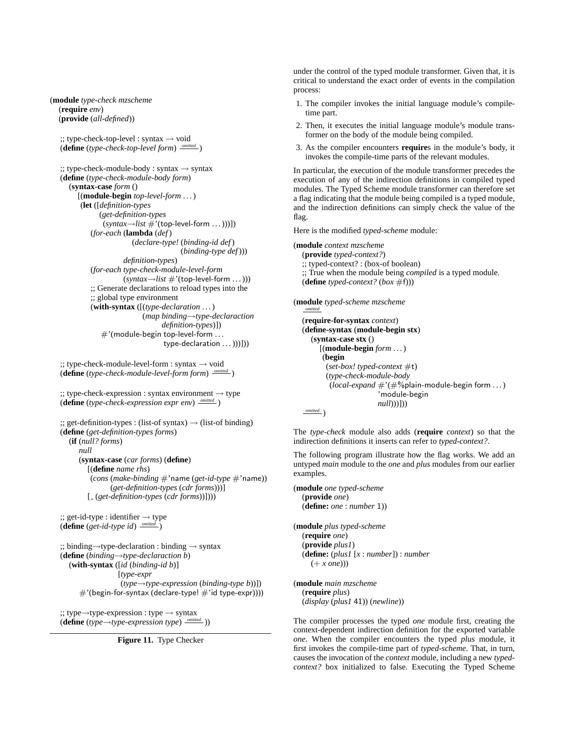(**module** *type-check mzscheme* (**require** *env*) (**provide** (*all-defined*))

> $\therefore$ : type-check-top-level : syntax  $\rightarrow$  void (**define** (*type-check-top-level form*) *omitted* )

 $\therefore$ ; type-check-module-body : syntax  $\rightarrow$  syntax (**define** (*type-check-module-body form*) (**syntax-case** *form* () [(**module-begin** *top-level-form* . . . ) (**let** ([*definition-types* (*get-definition-types*  $(syntax \rightarrow list \#'(top-level-form ...))))$ (*for-each* (**lambda** (*def*) (*declare-type!* (*binding-id def*) (*binding-type def*))) *definition-types*) (*for-each type-check-module-level-form* (*syntax*→*list* #'(top-level-form . . . ))) ;; Generate declarations to reload types into the ;; global type environment (**with-syntax** ([(*type-declaration* . . . ) (*map binding*→*type-declaraction definition-types*)])  $#$ '(module-begin top-level-form ... type-declaration ... )))]))

 $\therefore$ : type-check-module-level-form : syntax  $\rightarrow$  void (**define** (*type-check-module-level-form form*) *omitted* )

```
\gamma; type-check-expression : syntax environment \rightarrow type
(define (type-check-expression expr env)
omitted )
```

```
\gamma; get-definition-types : (list-of syntax) \rightarrow (list-of binding)
(define (get-definition-types forms)
  (if (null? forms)
     null
     (syntax-case (car forms) (define)
        [(define name rhs)
         (cons (make-binding #'name (get-id-type #'name))
                (get-definition-types (cdr forms)))]
        [ (get-definition-types (cdr forms))])))
\gamma; get-id-type : identifier \rightarrow type
(define (get-id-type id)
omitted )
;; binding→type-declaration : binding → syntax
(define (binding→type-declaraction b)
  (with-syntax ([id (binding-id b)]
```
[*type-expr* (*type*→*type-expression* (*binding-type b*))])  $\#$ '(begin-for-syntax (declare-type!  $\#$ 'id type-expr))))

;; type→type-expression : type → syntax (**define** (*type*→*type-expression type*) *omitted* ))



under the control of the typed module transformer. Given that, it is critical to understand the exact order of events in the compilation process:

- 1. The compiler invokes the initial language module's compiletime part.
- 2. Then, it executes the initial language module's module transformer on the body of the module being compiled.
- 3. As the compiler encounters **require**s in the module's body, it invokes the compile-time parts of the relevant modules.

In particular, the execution of the module transformer precedes the execution of any of the indirection definitions in compiled typed modules. The Typed Scheme module transformer can therefore set a flag indicating that the module being compiled is a typed module, and the indirection definitions can simply check the value of the flag.

Here is the modified *typed-scheme* module:

(**module** *context mzscheme* (**provide** *typed-context?*) ;; typed-context? : (box-of boolean)

;; True when the module being *compiled* is a typed module.  $(\text{define type } d\text{-context? } (box \#f)))$ 

(**module** *typed-scheme mzscheme*

```
omitted
(require-for-syntax context)
(define-syntax (module-begin stx)
  (syntax-case stx ()
     [(module-begin form . . . )
      (begin
       (set-box! typed-context #t)
       (type-check-module-body
        (local-expand #'(#%plain-module-begin form . . . )
                       'module-begin
                      null)))]))
omitted )
```
The *type-check* module also adds (**require** *context*) so that the indirection definitions it inserts can refer to *typed-context?*.

The following program illustrate how the flag works. We add an untyped *main* module to the *one* and *plus* modules from our earlier examples.

```
(module one typed-scheme
  (provide one)
  (define: one : number 1))
(module plus typed-scheme
  (require one)
  (provide plus1)
  (define: (plus1 [x : number]) : number
     (+ x one)))
```
(**module** *main mzscheme* (**require** *plus*) (*display* (*plus1* 41)) (*newline*))

The compiler processes the typed *one* module first, creating the context-dependent indirection definition for the exported variable *one*. When the compiler encounters the typed *plus* module, it first invokes the compile-time part of *typed-scheme*. That, in turn, causes the invocation of the *context* module, including a new *typedcontext?* box initialized to false. Executing the Typed Scheme